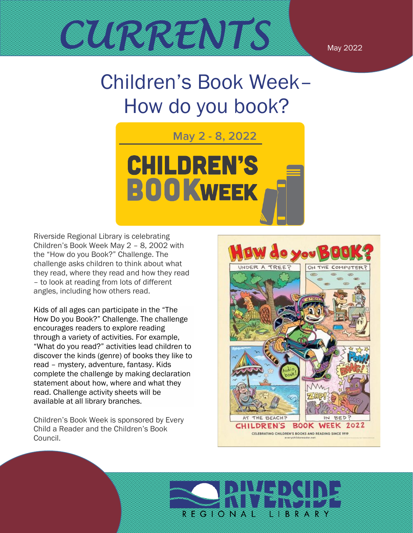

# Children's Book Week– How do you book?



Riverside Regional Library is celebrating Children's Book Week May 2 – 8, 2002 with the "How do you Book?" Challenge. The challenge asks children to think about what they read, where they read and how they read – to look at reading from lots of different angles, including how others read.

Kids of all ages can participate in the "The How Do you Book?" Challenge. The challenge encourages readers to explore reading through a variety of activities. For example, "What do you read?" activities lead children to discover the kinds (genre) of books they like to read – mystery, adventure, fantasy. Kids complete the challenge by making declaration statement about how, where and what they read. Challenge activity sheets will be available at all library branches.

Children's Book Week is sponsored by Every Child a Reader and the Children's Book Council.



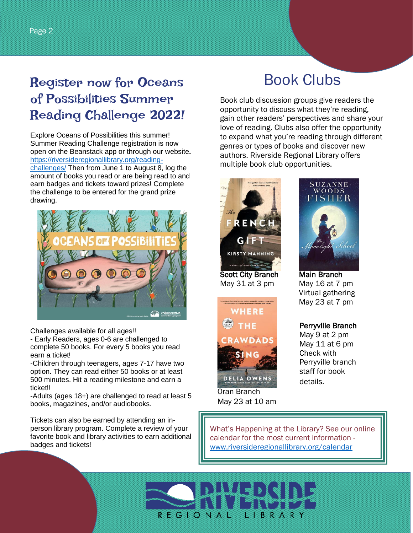## of Possibilities Summer Reading Challenge 2022!

Explore Oceans of Possibilities this summer! Summer Reading Challenge registration is now open on the Beanstack app or through our website**.** [https://riversideregionallibrary.org/reading](https://riversideregionallibrary.org/reading-challenges/)[challenges/](https://riversideregionallibrary.org/reading-challenges/) Then from June 1 to August 8, log the amount of books you read or are being read to and earn badges and tickets toward prizes! Complete the challenge to be entered for the grand prize drawing.



Challenges available for all ages!!

- Early Readers, ages 0-6 are challenged to complete 50 books. For every 5 books you read earn a ticket!

-Children through teenagers, ages 7-17 have two option. They can read either 50 books or at least 500 minutes. Hit a reading milestone and earn a ticket!!

-Adults (ages 18+) are challenged to read at least 5 books, magazines, and/or audiobooks.

Tickets can also be earned by attending an inperson library program. Complete a review of your favorite book and library activities to earn additional badges and tickets!

### Book Clubs

Book club discussion groups give readers the opportunity to discuss what they're reading, gain other readers' perspectives and share your love of reading. Clubs also offer the opportunity to expand what you're reading through different genres or types of books and discover new authors. Riverside Regional Library offers multiple book club opportunities.



Scott City Branch Main Branch May 31 at 3 pm May 16 at 7 pm



Oran Branch May 23 at 10 am



 Virtual gathering May 23 at 7 pm

#### Perryville Branch

May 9 at 2 pm May 11 at 6 pm Check with Perryville branch staff for book details.

What's Happening at the Library? See our online calendar for the most current information [www.riversideregionallibrary.org/](http://www.riversideregionallibrary.org/)calendar

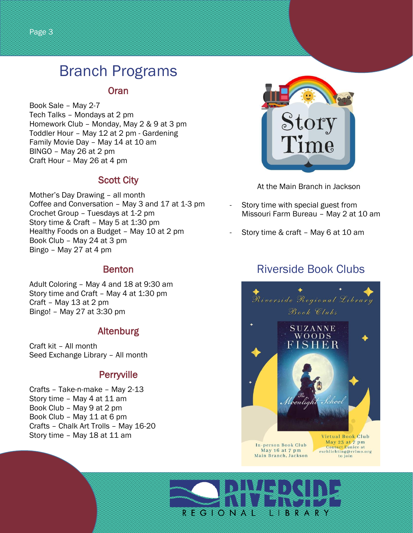### Branch Programs

#### **Oran**

Book Sale – May 2-7 Tech Talks – Mondays at 2 pm Homework Club – Monday, May 2 & 9 at 3 pm Toddler Hour – May 12 at 2 pm - Gardening Family Movie Day – May 14 at 10 am BINGO – May 26 at 2 pm Craft Hour – May 26 at 4 pm

#### Scott City

Mother's Day Drawing – all month Coffee and Conversation – May 3 and 17 at 1-3 pm Crochet Group – Tuesdays at 1-2 pm Story time & Craft – May 5 at 1:30 pm Healthy Foods on a Budget – May 10 at 2 pm Book Club – May 24 at 3 pm Bingo – May 27 at 4 pm

#### Benton

Adult Coloring – May 4 and 18 at 9:30 am Story time and Craft – May 4 at 1:30 pm Craft – May 13 at 2 pm Bingo! – May 27 at 3:30 pm

#### Altenburg

Craft kit – All month Seed Exchange Library – All month

#### **Perryville**

Crafts – Take-n-make – May 2-13 Story time – May 4 at 11 am Book Club – May 9 at 2 pm Book Club – May 11 at 6 pm Crafts – Chalk Art Trolls – May 16-20 Story time – May 18 at 11 am



At the Main Branch in Jackson

- Story time with special guest from Missouri Farm Bureau – May 2 at 10 am
- Story time & craft May 6 at 10 am

#### Riverside Book Clubs



May 16 at 7 pm<br>Main Branch, Jackson

Contact Eunice at<br>eschlichting@rrlmo.org to join